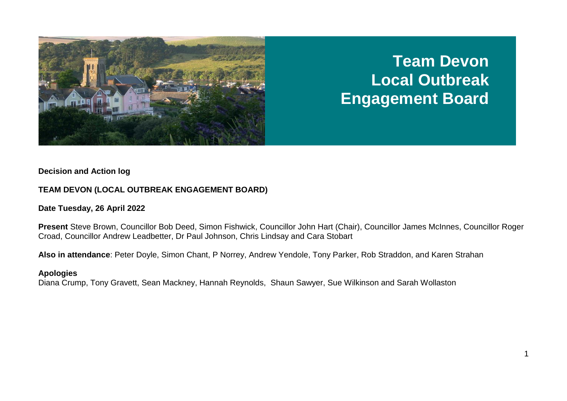

# **Team Devon Local Outbreak Engagement Board**

#### **Decision and Action log**

# **TEAM DEVON (LOCAL OUTBREAK ENGAGEMENT BOARD)**

## **Date Tuesday, 26 April 2022**

**Present** Steve Brown, Councillor Bob Deed, Simon Fishwick, Councillor John Hart (Chair), Councillor James McInnes, Councillor Roger Croad, Councillor Andrew Leadbetter, Dr Paul Johnson, Chris Lindsay and Cara Stobart

**Also in attendance**: Peter Doyle, Simon Chant, P Norrey, Andrew Yendole, Tony Parker, Rob Straddon, and Karen Strahan

## **Apologies**

Diana Crump, Tony Gravett, Sean Mackney, Hannah Reynolds, Shaun Sawyer, Sue Wilkinson and Sarah Wollaston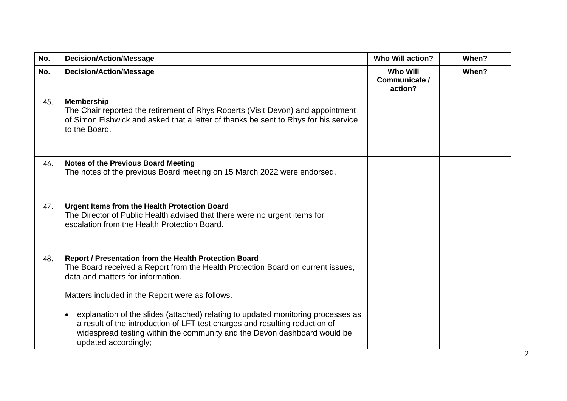| No. | <b>Decision/Action/Message</b>                                                                                                                                                                                                                                                                                         | <b>Who Will action?</b>                     | When? |
|-----|------------------------------------------------------------------------------------------------------------------------------------------------------------------------------------------------------------------------------------------------------------------------------------------------------------------------|---------------------------------------------|-------|
| No. | <b>Decision/Action/Message</b>                                                                                                                                                                                                                                                                                         | <b>Who Will</b><br>Communicate /<br>action? | When? |
| 45. | <b>Membership</b><br>The Chair reported the retirement of Rhys Roberts (Visit Devon) and appointment<br>of Simon Fishwick and asked that a letter of thanks be sent to Rhys for his service<br>to the Board.                                                                                                           |                                             |       |
| 46. | <b>Notes of the Previous Board Meeting</b><br>The notes of the previous Board meeting on 15 March 2022 were endorsed.                                                                                                                                                                                                  |                                             |       |
| 47. | Urgent Items from the Health Protection Board<br>The Director of Public Health advised that there were no urgent items for<br>escalation from the Health Protection Board.                                                                                                                                             |                                             |       |
| 48. | Report / Presentation from the Health Protection Board<br>The Board received a Report from the Health Protection Board on current issues,<br>data and matters for information.                                                                                                                                         |                                             |       |
|     | Matters included in the Report were as follows.<br>explanation of the slides (attached) relating to updated monitoring processes as<br>a result of the introduction of LFT test charges and resulting reduction of<br>widespread testing within the community and the Devon dashboard would be<br>updated accordingly; |                                             |       |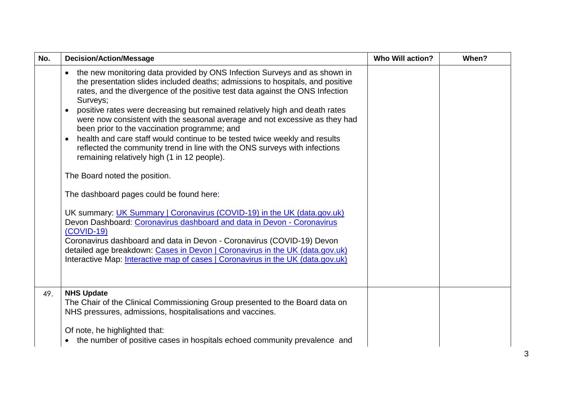| No. | <b>Decision/Action/Message</b>                                                                                                                                                                                                                                                                                                                                                                                                                                                                                                                                                                                                                                                                 | <b>Who Will action?</b> | When? |
|-----|------------------------------------------------------------------------------------------------------------------------------------------------------------------------------------------------------------------------------------------------------------------------------------------------------------------------------------------------------------------------------------------------------------------------------------------------------------------------------------------------------------------------------------------------------------------------------------------------------------------------------------------------------------------------------------------------|-------------------------|-------|
|     | the new monitoring data provided by ONS Infection Surveys and as shown in<br>$\bullet$<br>the presentation slides included deaths; admissions to hospitals, and positive<br>rates, and the divergence of the positive test data against the ONS Infection<br>Surveys;<br>positive rates were decreasing but remained relatively high and death rates<br>were now consistent with the seasonal average and not excessive as they had<br>been prior to the vaccination programme; and<br>health and care staff would continue to be tested twice weekly and results<br>reflected the community trend in line with the ONS surveys with infections<br>remaining relatively high (1 in 12 people). |                         |       |
|     | The Board noted the position.                                                                                                                                                                                                                                                                                                                                                                                                                                                                                                                                                                                                                                                                  |                         |       |
|     | The dashboard pages could be found here:                                                                                                                                                                                                                                                                                                                                                                                                                                                                                                                                                                                                                                                       |                         |       |
|     | UK summary: UK Summary   Coronavirus (COVID-19) in the UK (data.gov.uk)<br>Devon Dashboard: Coronavirus dashboard and data in Devon - Coronavirus<br>$(COVID-19)$<br>Coronavirus dashboard and data in Devon - Coronavirus (COVID-19) Devon                                                                                                                                                                                                                                                                                                                                                                                                                                                    |                         |       |
|     | detailed age breakdown: Cases in Devon   Coronavirus in the UK (data.gov.uk)<br>Interactive Map: Interactive map of cases   Coronavirus in the UK (data.gov.uk)                                                                                                                                                                                                                                                                                                                                                                                                                                                                                                                                |                         |       |
| 49. | <b>NHS Update</b><br>The Chair of the Clinical Commissioning Group presented to the Board data on<br>NHS pressures, admissions, hospitalisations and vaccines.                                                                                                                                                                                                                                                                                                                                                                                                                                                                                                                                 |                         |       |
|     | Of note, he highlighted that:<br>• the number of positive cases in hospitals echoed community prevalence and                                                                                                                                                                                                                                                                                                                                                                                                                                                                                                                                                                                   |                         |       |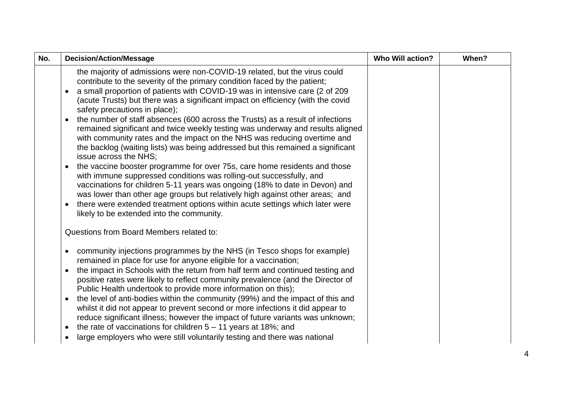| No. | <b>Decision/Action/Message</b>                                                                                                                                                                                                                                                                                                                                                                                                                                                                                                                                                                                                                                                                                                                                                                                                                                                                                                                                                                                                                                                                                                                                                                        | <b>Who Will action?</b> | When? |
|-----|-------------------------------------------------------------------------------------------------------------------------------------------------------------------------------------------------------------------------------------------------------------------------------------------------------------------------------------------------------------------------------------------------------------------------------------------------------------------------------------------------------------------------------------------------------------------------------------------------------------------------------------------------------------------------------------------------------------------------------------------------------------------------------------------------------------------------------------------------------------------------------------------------------------------------------------------------------------------------------------------------------------------------------------------------------------------------------------------------------------------------------------------------------------------------------------------------------|-------------------------|-------|
|     | the majority of admissions were non-COVID-19 related, but the virus could<br>contribute to the severity of the primary condition faced by the patient;<br>a small proportion of patients with COVID-19 was in intensive care (2 of 209<br>(acute Trusts) but there was a significant impact on efficiency (with the covid<br>safety precautions in place);<br>the number of staff absences (600 across the Trusts) as a result of infections<br>$\bullet$<br>remained significant and twice weekly testing was underway and results aligned<br>with community rates and the impact on the NHS was reducing overtime and<br>the backlog (waiting lists) was being addressed but this remained a significant<br>issue across the NHS;<br>the vaccine booster programme for over 75s, care home residents and those<br>$\bullet$<br>with immune suppressed conditions was rolling-out successfully, and<br>vaccinations for children 5-11 years was ongoing (18% to date in Devon) and<br>was lower than other age groups but relatively high against other areas; and<br>there were extended treatment options within acute settings which later were<br>٠<br>likely to be extended into the community. |                         |       |
|     | Questions from Board Members related to:                                                                                                                                                                                                                                                                                                                                                                                                                                                                                                                                                                                                                                                                                                                                                                                                                                                                                                                                                                                                                                                                                                                                                              |                         |       |
|     | community injections programmes by the NHS (in Tesco shops for example)<br>٠<br>remained in place for use for anyone eligible for a vaccination;<br>the impact in Schools with the return from half term and continued testing and<br>positive rates were likely to reflect community prevalence (and the Director of<br>Public Health undertook to provide more information on this);<br>the level of anti-bodies within the community (99%) and the impact of this and<br>$\bullet$<br>whilst it did not appear to prevent second or more infections it did appear to<br>reduce significant illness; however the impact of future variants was unknown;<br>the rate of vaccinations for children $5 - 11$ years at 18%; and<br>$\bullet$<br>large employers who were still voluntarily testing and there was national                                                                                                                                                                                                                                                                                                                                                                               |                         |       |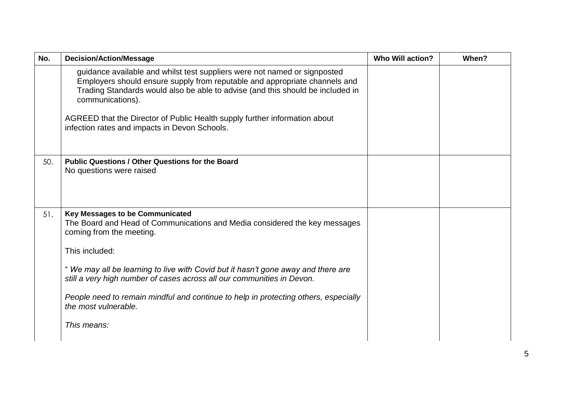| No. | <b>Decision/Action/Message</b>                                                                                                                                                                                                                                | <b>Who Will action?</b> | When? |
|-----|---------------------------------------------------------------------------------------------------------------------------------------------------------------------------------------------------------------------------------------------------------------|-------------------------|-------|
|     | guidance available and whilst test suppliers were not named or signposted<br>Employers should ensure supply from reputable and appropriate channels and<br>Trading Standards would also be able to advise (and this should be included in<br>communications). |                         |       |
|     | AGREED that the Director of Public Health supply further information about<br>infection rates and impacts in Devon Schools.                                                                                                                                   |                         |       |
| 50. | <b>Public Questions / Other Questions for the Board</b><br>No questions were raised                                                                                                                                                                           |                         |       |
| 51. | <b>Key Messages to be Communicated</b><br>The Board and Head of Communications and Media considered the key messages<br>coming from the meeting.                                                                                                              |                         |       |
|     | This included:                                                                                                                                                                                                                                                |                         |       |
|     | "We may all be learning to live with Covid but it hasn't gone away and there are<br>still a very high number of cases across all our communities in Devon.                                                                                                    |                         |       |
|     | People need to remain mindful and continue to help in protecting others, especially<br>the most vulnerable.                                                                                                                                                   |                         |       |
|     |                                                                                                                                                                                                                                                               |                         |       |